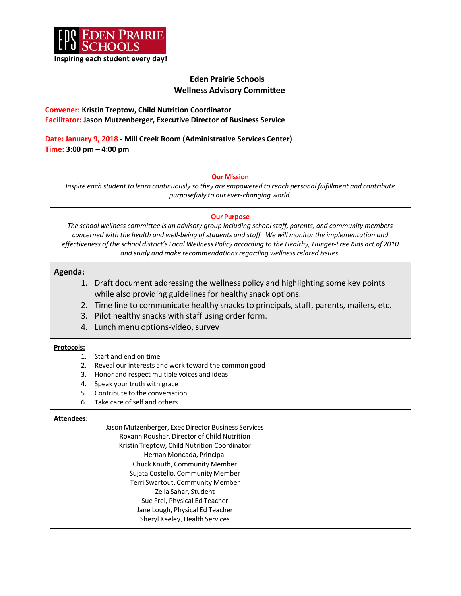

# **Eden Prairie Schools Wellness Advisory Committee**

## **Convener: Kristin Treptow, Child Nutrition Coordinator Facilitator: Jason Mutzenberger, Executive Director of Business Service**

**Date: January 9, 2018 - Mill Creek Room (Administrative Services Center) Time: 3:00 pm – 4:00 pm**

## **Our Mission**

*Inspire each student to learn continuously so they are empowered to reach personal fulfillment and contribute purposefully to our ever-changing world.*

#### **Our Purpose**

*The school wellness committee is an advisory group including schoolstaff, parents, and community members concerned with the health and well-being ofstudents and staff. We will monitor the implementation and effectiveness of the school district's Local Wellness Policy according to the Healthy, Hunger-Free Kids act of 2010 and study and make recommendationsregarding wellnessrelated issues.*

## **Agenda:**

- 1. Draft document addressing the wellness policy and highlighting some key points while also providing guidelines for healthy snack options.
- 2. Time line to communicate healthy snacks to principals, staff, parents, mailers, etc.
- 3. Pilot healthy snacks with staff using order form.
- 4. Lunch menu options-video, survey

#### **Protocols:**

- 1. Start and end on time
- 2. Reveal our interests and work toward the common good
- 3. Honor and respect multiple voices and ideas
- 4. Speak your truth with grace
- 5. Contribute to the conversation
- 6. Take care of self and others

#### **Attendees:**

Jason Mutzenberger, Exec Director Business Services Roxann Roushar, Director of Child Nutrition Kristin Treptow, Child Nutrition Coordinator Hernan Moncada, Principal Chuck Knuth, Community Member Sujata Costello, Community Member Terri Swartout, Community Member Zella Sahar, Student Sue Frei, Physical Ed Teacher Jane Lough, Physical Ed Teacher Sheryl Keeley, Health Services